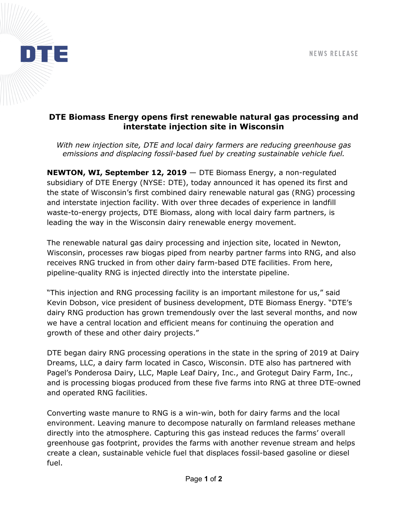

## **DTE Biomass Energy opens first renewable natural gas processing and interstate injection site in Wisconsin**

*With new injection site, DTE and local dairy farmers are reducing greenhouse gas emissions and displacing fossil-based fuel by creating sustainable vehicle fuel.* 

**NEWTON, WI, September 12, 2019** — DTE Biomass Energy, a non-regulated subsidiary of DTE Energy (NYSE: DTE), today announced it has opened its first and the state of Wisconsin's first combined dairy renewable natural gas (RNG) processing and interstate injection facility. With over three decades of experience in landfill waste-to-energy projects, DTE Biomass, along with local dairy farm partners, is leading the way in the Wisconsin dairy renewable energy movement.

The renewable natural gas dairy processing and injection site, located in Newton, Wisconsin, processes raw biogas piped from nearby partner farms into RNG, and also receives RNG trucked in from other dairy farm-based DTE facilities. From here, pipeline-quality RNG is injected directly into the interstate pipeline.

"This injection and RNG processing facility is an important milestone for us," said Kevin Dobson, vice president of business development, DTE Biomass Energy. "DTE's dairy RNG production has grown tremendously over the last several months, and now we have a central location and efficient means for continuing the operation and growth of these and other dairy projects."

DTE began dairy RNG processing operations in the state in the spring of 2019 at Dairy Dreams, LLC, a dairy farm located in Casco, Wisconsin. DTE also has partnered with Pagel's Ponderosa Dairy, LLC, Maple Leaf Dairy, Inc., and Grotegut Dairy Farm, Inc., and is processing biogas produced from these five farms into RNG at three DTE-owned and operated RNG facilities.

Converting waste manure to RNG is a win-win, both for dairy farms and the local environment. Leaving manure to decompose naturally on farmland releases methane directly into the atmosphere. Capturing this gas instead reduces the farms' overall greenhouse gas footprint, provides the farms with another revenue stream and helps create a clean, sustainable vehicle fuel that displaces fossil-based gasoline or diesel fuel.